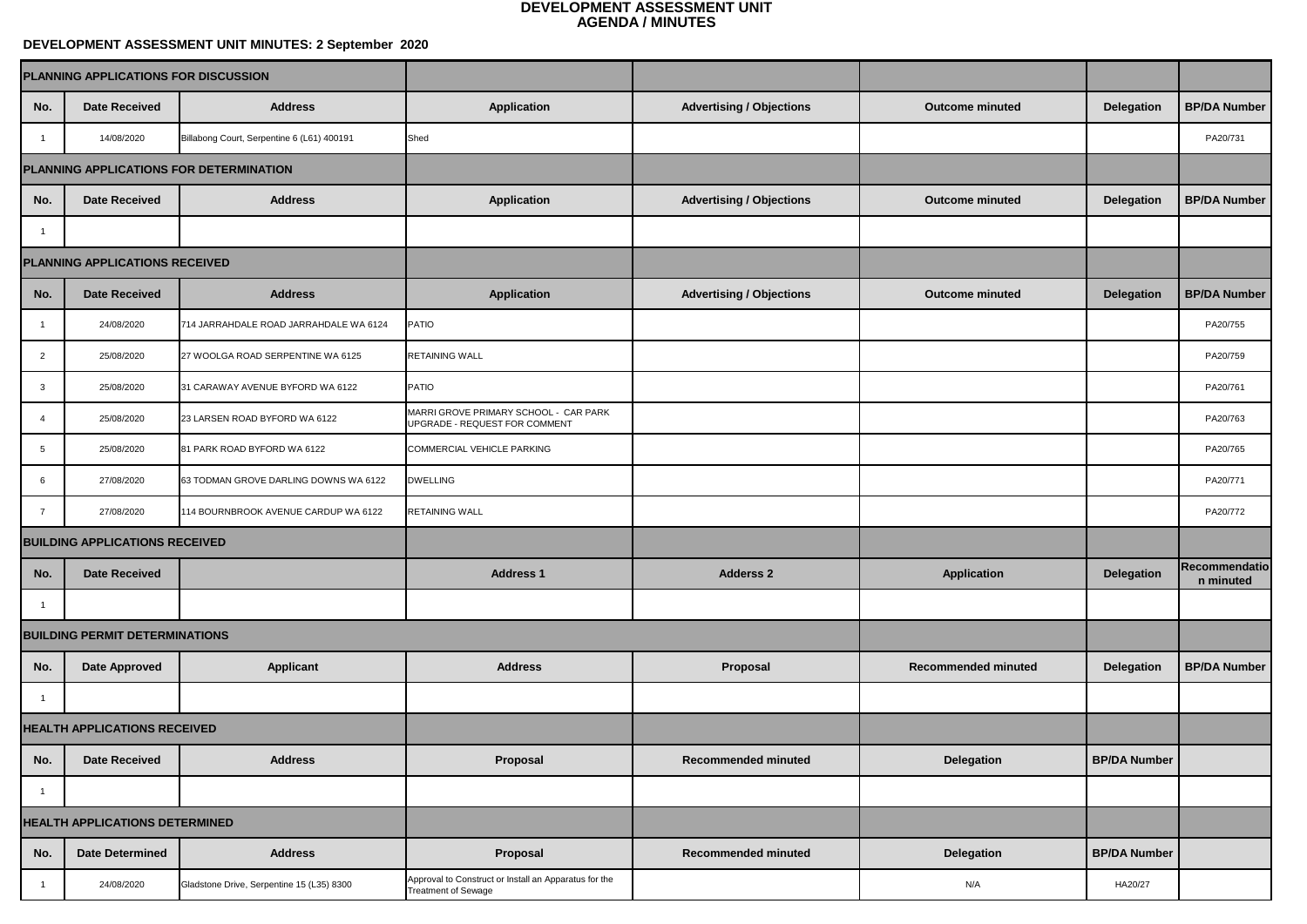## **DEVELOPMENT ASSESSMENT UNIT MINUTES: 2 September 2020**

| PLANNING APPLICATIONS FOR DISCUSSION  |                                       |                                            |                                                                                     |                                 |                            |                     |                            |
|---------------------------------------|---------------------------------------|--------------------------------------------|-------------------------------------------------------------------------------------|---------------------------------|----------------------------|---------------------|----------------------------|
| No.                                   | <b>Date Received</b>                  | <b>Address</b>                             | <b>Application</b>                                                                  | <b>Advertising / Objections</b> | <b>Outcome minuted</b>     | <b>Delegation</b>   | <b>BP/DA Number</b>        |
|                                       | 14/08/2020                            | Billabong Court, Serpentine 6 (L61) 400191 | Shed                                                                                |                                 |                            |                     | PA20/731                   |
|                                       |                                       | PLANNING APPLICATIONS FOR DETERMINATION    |                                                                                     |                                 |                            |                     |                            |
| No.                                   | <b>Date Received</b>                  | <b>Address</b>                             | <b>Application</b>                                                                  | <b>Advertising / Objections</b> | <b>Outcome minuted</b>     | <b>Delegation</b>   | <b>BP/DA Number</b>        |
|                                       |                                       |                                            |                                                                                     |                                 |                            |                     |                            |
| PLANNING APPLICATIONS RECEIVED        |                                       |                                            |                                                                                     |                                 |                            |                     |                            |
| No.                                   | <b>Date Received</b>                  | <b>Address</b>                             | <b>Application</b>                                                                  | <b>Advertising / Objections</b> | <b>Outcome minuted</b>     | <b>Delegation</b>   | <b>BP/DA Number</b>        |
|                                       | 24/08/2020                            | 714 JARRAHDALE ROAD JARRAHDALE WA 6124     | PATIO                                                                               |                                 |                            |                     | PA20/755                   |
| $\overline{2}$                        | 25/08/2020                            | 27 WOOLGA ROAD SERPENTINE WA 6125          | <b>RETAINING WALL</b>                                                               |                                 |                            |                     | PA20/759                   |
| $\mathbf{3}$                          | 25/08/2020                            | 31 CARAWAY AVENUE BYFORD WA 6122           | <b>PATIO</b>                                                                        |                                 |                            |                     | PA20/761                   |
|                                       | 25/08/2020                            | 23 LARSEN ROAD BYFORD WA 6122              | MARRI GROVE PRIMARY SCHOOL - CAR PARK<br>UPGRADE - REQUEST FOR COMMENT              |                                 |                            |                     | PA20/763                   |
| 5                                     | 25/08/2020                            | 81 PARK ROAD BYFORD WA 6122                | <b>COMMERCIAL VEHICLE PARKING</b>                                                   |                                 |                            |                     | PA20/765                   |
| $6\overline{6}$                       | 27/08/2020                            | 63 TODMAN GROVE DARLING DOWNS WA 6122      | <b>DWELLING</b>                                                                     |                                 |                            |                     | PA20/771                   |
| $\overline{7}$                        | 27/08/2020                            | 114 BOURNBROOK AVENUE CARDUP WA 6122       | <b>RETAINING WALL</b>                                                               |                                 |                            |                     | PA20/772                   |
| <b>BUILDING APPLICATIONS RECEIVED</b> |                                       |                                            |                                                                                     |                                 |                            |                     |                            |
| No.                                   | <b>Date Received</b>                  |                                            | <b>Address 1</b>                                                                    | <b>Adderss 2</b>                | <b>Application</b>         | <b>Delegation</b>   | Recommendatio<br>n minuted |
|                                       |                                       |                                            |                                                                                     |                                 |                            |                     |                            |
|                                       | <b>BUILDING PERMIT DETERMINATIONS</b> |                                            |                                                                                     |                                 |                            |                     |                            |
| No.                                   | <b>Date Approved</b>                  | <b>Applicant</b>                           | <b>Address</b>                                                                      | <b>Proposal</b>                 | <b>Recommended minuted</b> | <b>Delegation</b>   | <b>BP/DA Number</b>        |
|                                       |                                       |                                            |                                                                                     |                                 |                            |                     |                            |
| <b>HEALTH APPLICATIONS RECEIVED</b>   |                                       |                                            |                                                                                     |                                 |                            |                     |                            |
| No.                                   | <b>Date Received</b>                  | <b>Address</b>                             | <b>Proposal</b>                                                                     | <b>Recommended minuted</b>      | <b>Delegation</b>          | <b>BP/DA Number</b> |                            |
|                                       |                                       |                                            |                                                                                     |                                 |                            |                     |                            |
|                                       | <b>HEALTH APPLICATIONS DETERMINED</b> |                                            |                                                                                     |                                 |                            |                     |                            |
| No.                                   | <b>Date Determined</b>                | <b>Address</b>                             | Proposal                                                                            | <b>Recommended minuted</b>      | <b>Delegation</b>          | <b>BP/DA Number</b> |                            |
|                                       | 24/08/2020                            | Gladstone Drive, Serpentine 15 (L35) 8300  | Approval to Construct or Install an Apparatus for the<br><b>Treatment of Sewage</b> |                                 | N/A                        | HA20/27             |                            |

| ing / Objections | <b>Outcome minuted</b>     | <b>Delegation</b>   | <b>BP/DA Number</b>               |
|------------------|----------------------------|---------------------|-----------------------------------|
|                  |                            |                     | PA20/731                          |
|                  |                            |                     |                                   |
| ing / Objections | <b>Outcome minuted</b>     | <b>Delegation</b>   | <b>BP/DA Number</b>               |
|                  |                            |                     |                                   |
|                  |                            |                     |                                   |
| ing / Objections | <b>Outcome minuted</b>     | <b>Delegation</b>   | <b>BP/DA Number</b>               |
|                  |                            |                     | PA20/755                          |
|                  |                            |                     | PA20/759                          |
|                  |                            |                     | PA20/761                          |
|                  |                            |                     | PA20/763                          |
|                  |                            |                     | PA20/765                          |
|                  |                            |                     | PA20/771                          |
|                  |                            |                     | PA20/772                          |
|                  |                            |                     |                                   |
| dderss 2         | <b>Application</b>         | <b>Delegation</b>   | <b>Recommendatio</b><br>n minuted |
|                  |                            |                     |                                   |
|                  |                            |                     |                                   |
| <b>Proposal</b>  | <b>Recommended minuted</b> | <b>Delegation</b>   | <b>BP/DA Number</b>               |
|                  |                            |                     |                                   |
|                  |                            |                     |                                   |
| nended minuted   | <b>Delegation</b>          | <b>BP/DA Number</b> |                                   |
|                  |                            |                     |                                   |
|                  |                            |                     |                                   |
| nended minuted   | <b>Delegation</b>          | <b>BP/DA Number</b> |                                   |
|                  | N/A                        | HA20/27             |                                   |
|                  |                            |                     |                                   |

## **DEVELOPMENT ASSESSMENT UNIT AGENDA / MINUTES**